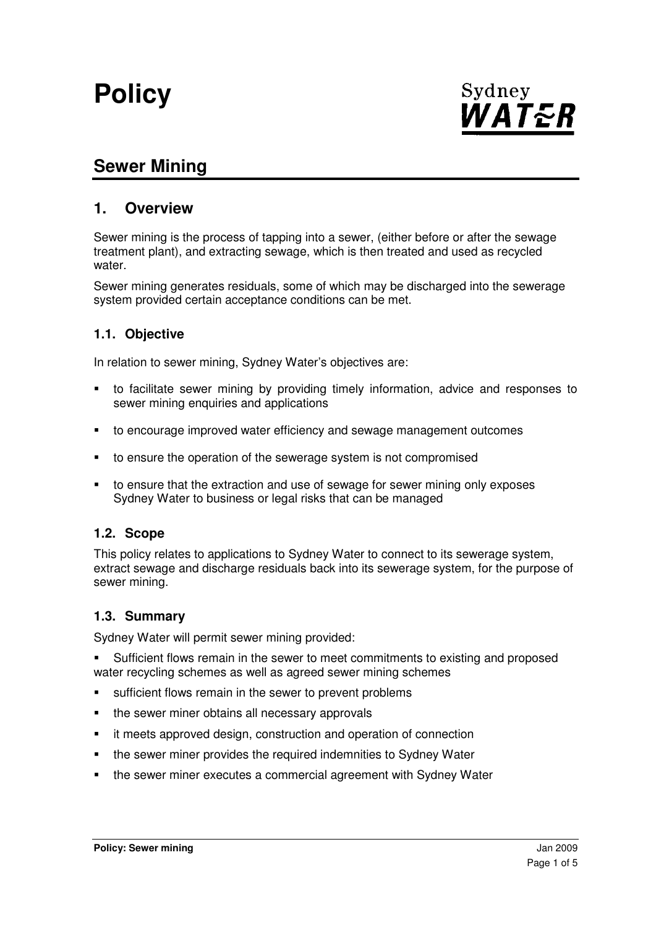# **Policy**



# **Sewer Mining**

# **1. Overview**

Sewer mining is the process of tapping into a sewer, (either before or after the sewage treatment plant), and extracting sewage, which is then treated and used as recycled water.

Sewer mining generates residuals, some of which may be discharged into the sewerage system provided certain acceptance conditions can be met.

#### **1.1. Objective**

In relation to sewer mining, Sydney Water's objectives are:

- to facilitate sewer mining by providing timely information, advice and responses to sewer mining enquiries and applications
- to encourage improved water efficiency and sewage management outcomes
- to ensure the operation of the sewerage system is not compromised
- to ensure that the extraction and use of sewage for sewer mining only exposes Sydney Water to business or legal risks that can be managed

#### **1.2. Scope**

This policy relates to applications to Sydney Water to connect to its sewerage system, extract sewage and discharge residuals back into its sewerage system, for the purpose of sewer mining.

#### **1.3. Summary**

Sydney Water will permit sewer mining provided:

 Sufficient flows remain in the sewer to meet commitments to existing and proposed water recycling schemes as well as agreed sewer mining schemes

- **sufficient flows remain in the sewer to prevent problems**
- the sewer miner obtains all necessary approvals
- it meets approved design, construction and operation of connection
- the sewer miner provides the required indemnities to Sydney Water
- the sewer miner executes a commercial agreement with Sydney Water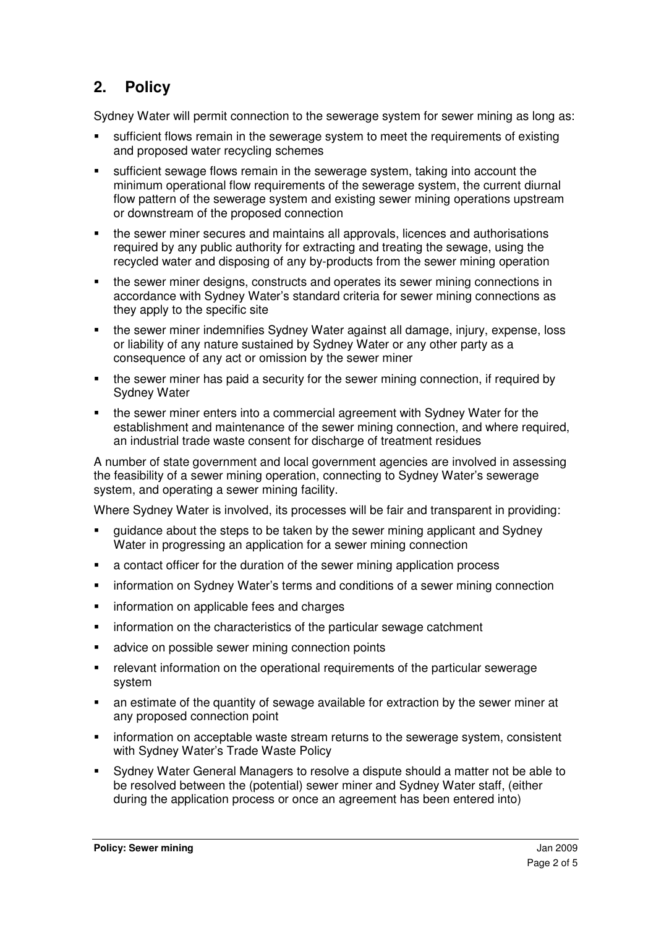# **2. Policy**

Sydney Water will permit connection to the sewerage system for sewer mining as long as:

- sufficient flows remain in the sewerage system to meet the requirements of existing and proposed water recycling schemes
- sufficient sewage flows remain in the sewerage system, taking into account the minimum operational flow requirements of the sewerage system, the current diurnal flow pattern of the sewerage system and existing sewer mining operations upstream or downstream of the proposed connection
- the sewer miner secures and maintains all approvals, licences and authorisations required by any public authority for extracting and treating the sewage, using the recycled water and disposing of any by-products from the sewer mining operation
- the sewer miner designs, constructs and operates its sewer mining connections in accordance with Sydney Water's standard criteria for sewer mining connections as they apply to the specific site
- the sewer miner indemnifies Sydney Water against all damage, injury, expense, loss or liability of any nature sustained by Sydney Water or any other party as a consequence of any act or omission by the sewer miner
- the sewer miner has paid a security for the sewer mining connection, if required by Sydney Water
- the sewer miner enters into a commercial agreement with Sydney Water for the establishment and maintenance of the sewer mining connection, and where required, an industrial trade waste consent for discharge of treatment residues

A number of state government and local government agencies are involved in assessing the feasibility of a sewer mining operation, connecting to Sydney Water's sewerage system, and operating a sewer mining facility.

Where Sydney Water is involved, its processes will be fair and transparent in providing:

- guidance about the steps to be taken by the sewer mining applicant and Sydney Water in progressing an application for a sewer mining connection
- a contact officer for the duration of the sewer mining application process
- information on Sydney Water's terms and conditions of a sewer mining connection
- information on applicable fees and charges
- **EXED** information on the characteristics of the particular sewage catchment
- **advice on possible sewer mining connection points**
- relevant information on the operational requirements of the particular sewerage system
- an estimate of the quantity of sewage available for extraction by the sewer miner at any proposed connection point
- information on acceptable waste stream returns to the sewerage system, consistent with Sydney Water's Trade Waste Policy
- Sydney Water General Managers to resolve a dispute should a matter not be able to be resolved between the (potential) sewer miner and Sydney Water staff, (either during the application process or once an agreement has been entered into)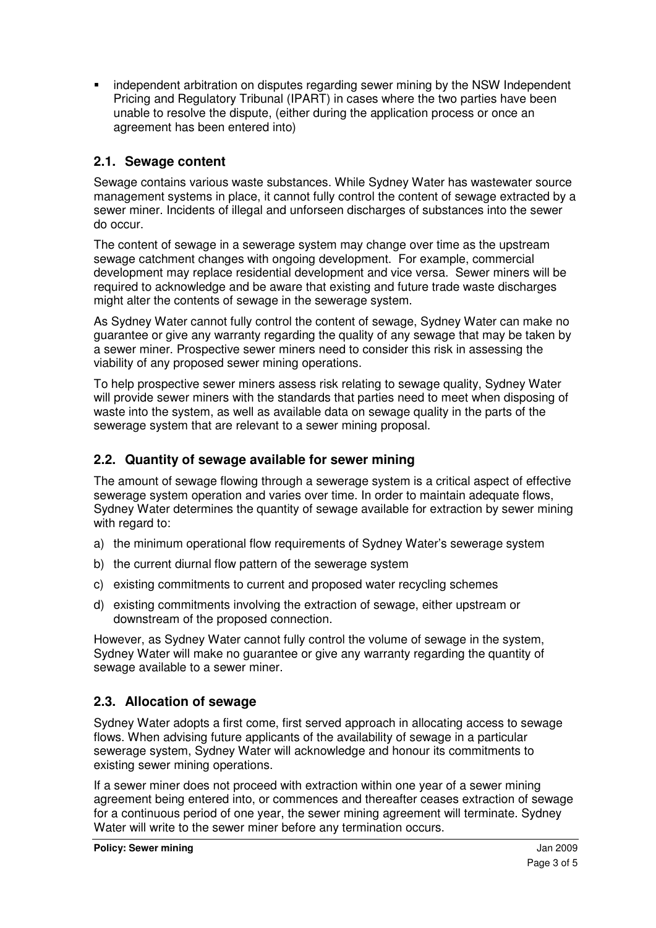independent arbitration on disputes regarding sewer mining by the NSW Independent Pricing and Regulatory Tribunal (IPART) in cases where the two parties have been unable to resolve the dispute, (either during the application process or once an agreement has been entered into)

# **2.1. Sewage content**

Sewage contains various waste substances. While Sydney Water has wastewater source management systems in place, it cannot fully control the content of sewage extracted by a sewer miner. Incidents of illegal and unforseen discharges of substances into the sewer do occur.

The content of sewage in a sewerage system may change over time as the upstream sewage catchment changes with ongoing development. For example, commercial development may replace residential development and vice versa. Sewer miners will be required to acknowledge and be aware that existing and future trade waste discharges might alter the contents of sewage in the sewerage system.

As Sydney Water cannot fully control the content of sewage, Sydney Water can make no guarantee or give any warranty regarding the quality of any sewage that may be taken by a sewer miner. Prospective sewer miners need to consider this risk in assessing the viability of any proposed sewer mining operations.

To help prospective sewer miners assess risk relating to sewage quality, Sydney Water will provide sewer miners with the standards that parties need to meet when disposing of waste into the system, as well as available data on sewage quality in the parts of the sewerage system that are relevant to a sewer mining proposal.

# **2.2. Quantity of sewage available for sewer mining**

The amount of sewage flowing through a sewerage system is a critical aspect of effective sewerage system operation and varies over time. In order to maintain adequate flows, Sydney Water determines the quantity of sewage available for extraction by sewer mining with regard to:

- a) the minimum operational flow requirements of Sydney Water's sewerage system
- b) the current diurnal flow pattern of the sewerage system
- c) existing commitments to current and proposed water recycling schemes
- d) existing commitments involving the extraction of sewage, either upstream or downstream of the proposed connection.

However, as Sydney Water cannot fully control the volume of sewage in the system, Sydney Water will make no guarantee or give any warranty regarding the quantity of sewage available to a sewer miner.

# **2.3. Allocation of sewage**

Sydney Water adopts a first come, first served approach in allocating access to sewage flows. When advising future applicants of the availability of sewage in a particular sewerage system, Sydney Water will acknowledge and honour its commitments to existing sewer mining operations.

If a sewer miner does not proceed with extraction within one year of a sewer mining agreement being entered into, or commences and thereafter ceases extraction of sewage for a continuous period of one year, the sewer mining agreement will terminate. Sydney Water will write to the sewer miner before any termination occurs.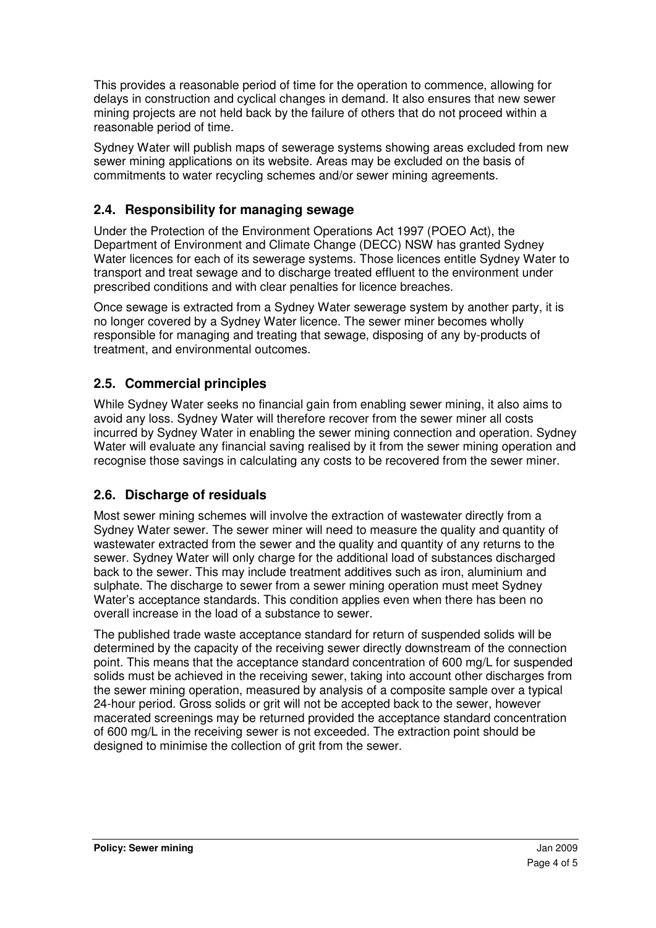This provides a reasonable period of time for the operation to commence, allowing for delays in construction and cyclical changes in demand. It also ensures that new sewer mining projects are not held back by the failure of others that do not proceed within a reasonable period of time.

Sydney Water will publish maps of sewerage systems showing areas excluded from new sewer mining applications on its website. Areas may be excluded on the basis of commitments to water recycling schemes and/or sewer mining agreements.

### **2.4. Responsibility for managing sewage**

Under the Protection of the Environment Operations Act 1997 (POEO Act), the Department of Environment and Climate Change (DECC) NSW has granted Sydney Water licences for each of its sewerage systems. Those licences entitle Sydney Water to transport and treat sewage and to discharge treated effluent to the environment under prescribed conditions and with clear penalties for licence breaches.

Once sewage is extracted from a Sydney Water sewerage system by another party, it is no longer covered by a Sydney Water licence. The sewer miner becomes wholly responsible for managing and treating that sewage, disposing of any by-products of treatment, and environmental outcomes.

### **2.5. Commercial principles**

While Sydney Water seeks no financial gain from enabling sewer mining, it also aims to avoid any loss. Sydney Water will therefore recover from the sewer miner all costs incurred by Sydney Water in enabling the sewer mining connection and operation. Sydney Water will evaluate any financial saving realised by it from the sewer mining operation and recognise those savings in calculating any costs to be recovered from the sewer miner.

#### **2.6. Discharge of residuals**

Most sewer mining schemes will involve the extraction of wastewater directly from a Sydney Water sewer. The sewer miner will need to measure the quality and quantity of wastewater extracted from the sewer and the quality and quantity of any returns to the sewer. Sydney Water will only charge for the additional load of substances discharged back to the sewer. This may include treatment additives such as iron, aluminium and sulphate. The discharge to sewer from a sewer mining operation must meet Sydney Water's acceptance standards. This condition applies even when there has been no overall increase in the load of a substance to sewer.

The published trade waste acceptance standard for return of suspended solids will be determined by the capacity of the receiving sewer directly downstream of the connection point. This means that the acceptance standard concentration of 600 mg/L for suspended solids must be achieved in the receiving sewer, taking into account other discharges from the sewer mining operation, measured by analysis of a composite sample over a typical 24-hour period. Gross solids or grit will not be accepted back to the sewer, however macerated screenings may be returned provided the acceptance standard concentration of 600 mg/L in the receiving sewer is not exceeded. The extraction point should be designed to minimise the collection of grit from the sewer.